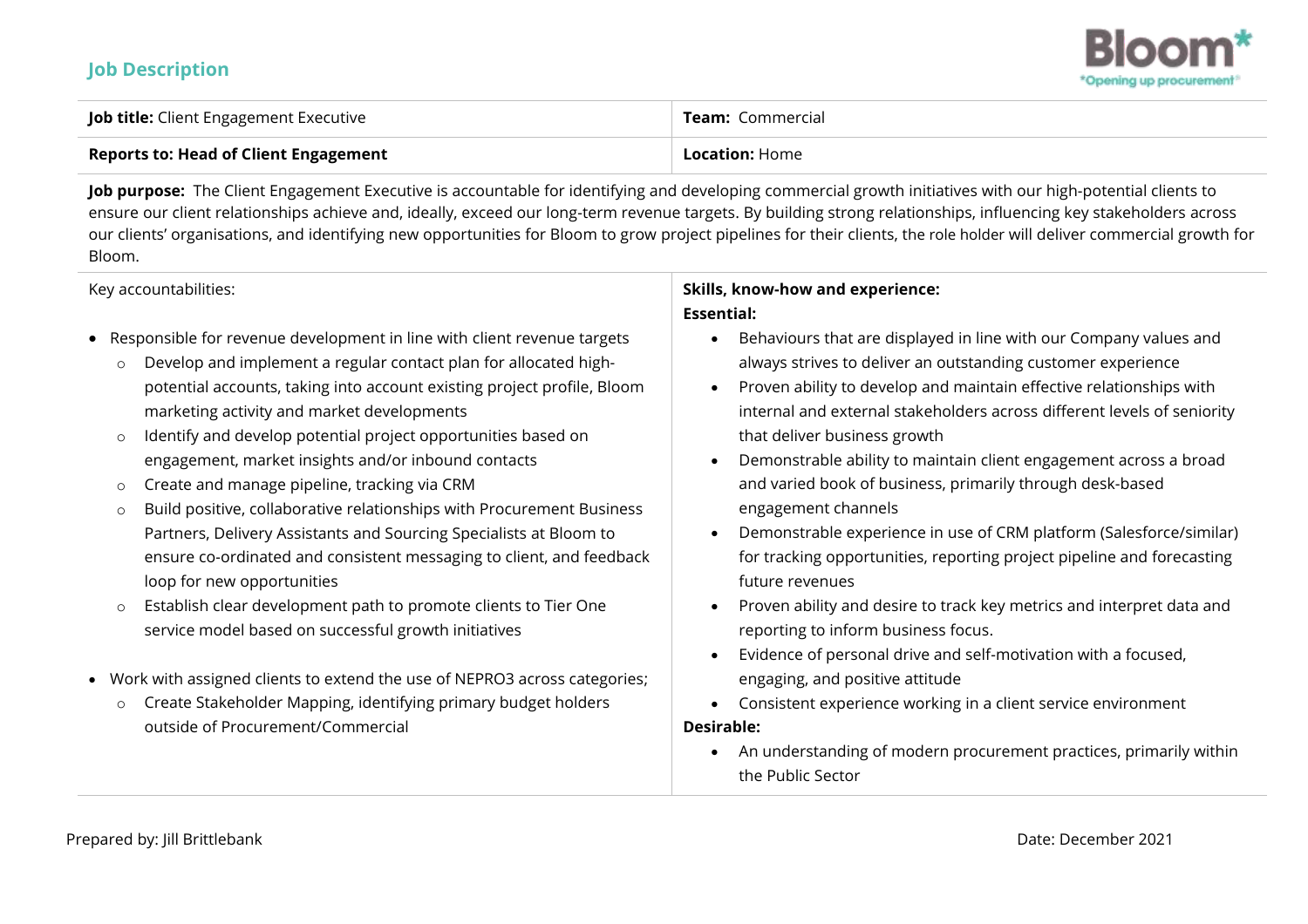## **Job Description**



| <b>Job title:</b> Client Engagement Executive | <b>Team:</b> Commercial |
|-----------------------------------------------|-------------------------|
| <b>Reports to: Head of Client Engagement</b>  | <b>Location: Home</b>   |

**Job purpose:** The Client Engagement Executive is accountable for identifying and developing commercial growth initiatives with our high-potential clients to ensure our client relationships achieve and, ideally, exceed our long-term revenue targets. By building strong relationships, influencing key stakeholders across our clients' organisations, and identifying new opportunities for Bloom to grow project pipelines for their clients, the role holder will deliver commercial growth for Bloom.

#### Key accountabilities:

- Responsible for revenue development in line with client revenue targets
	- o Develop and implement a regular contact plan for allocated highpotential accounts, taking into account existing project profile, Bloom marketing activity and market developments
	- o Identify and develop potential project opportunities based on engagement, market insights and/or inbound contacts
	- o Create and manage pipeline, tracking via CRM
	- o Build positive, collaborative relationships with Procurement Business Partners, Delivery Assistants and Sourcing Specialists at Bloom to ensure co-ordinated and consistent messaging to client, and feedback loop for new opportunities
	- o Establish clear development path to promote clients to Tier One service model based on successful growth initiatives
- Work with assigned clients to extend the use of NEPRO3 across categories;
	- o Create Stakeholder Mapping, identifying primary budget holders outside of Procurement/Commercial

## **Skills, know-how and experience: Essential:**

- Behaviours that are displayed in line with our Company values and always strives to deliver an outstanding customer experience
- Proven ability to develop and maintain effective relationships with internal and external stakeholders across different levels of seniority that deliver business growth
- Demonstrable ability to maintain client engagement across a broad and varied book of business, primarily through desk-based engagement channels
- Demonstrable experience in use of CRM platform (Salesforce/similar) for tracking opportunities, reporting project pipeline and forecasting future revenues
- Proven ability and desire to track key metrics and interpret data and reporting to inform business focus.
- Evidence of personal drive and self-motivation with a focused, engaging, and positive attitude
- Consistent experience working in a client service environment

### **Desirable:**

• An understanding of modern procurement practices, primarily within the Public Sector